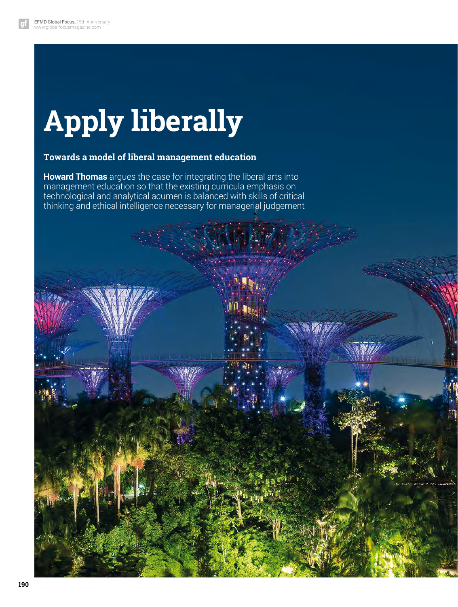# **Apply liberally**

### **Towards a model of liberal management education**

**Howard Thomas** argues the case for integrating the liberal arts into management education so that the existing curricula emphasis on technological and analytical acumen is balanced with skills of critical thinking and ethical intelligence necessary for managerial judgement

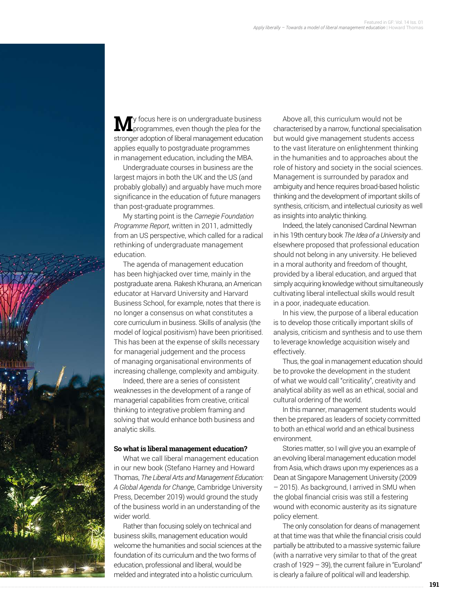

**M**y focus here is on undergraduate business<br>programmes, even though the plea for the stronger adoption of liberal management education applies equally to postgraduate programmes in management education, including the MBA.

Undergraduate courses in business are the largest majors in both the UK and the US (and probably globally) and arguably have much more significance in the education of future managers than post-graduate programmes.

My starting point is the *Carnegie Foundation Programme Report*, written in 2011, admittedly from an US perspective, which called for a radical rethinking of undergraduate management education.

The agenda of management education has been highjacked over time, mainly in the postgraduate arena. Rakesh Khurana, an American educator at Harvard University and Harvard Business School, for example, notes that there is no longer a consensus on what constitutes a core curriculum in business. Skills of analysis (the model of logical positivism) have been prioritised. This has been at the expense of skills necessary for managerial judgement and the process of managing organisational environments of increasing challenge, complexity and ambiguity.

Indeed, there are a series of consistent weaknesses in the development of a range of managerial capabilities from creative, critical thinking to integrative problem framing and solving that would enhance both business and analytic skills.

#### **So what is liberal management education?**

What we call liberal management education in our new book (Stefano Harney and Howard Thomas, *The Liberal Arts and Management Education: A Global Agenda for Chang*e, Cambridge University Press, December 2019) would ground the study of the business world in an understanding of the wider world.

Rather than focusing solely on technical and business skills, management education would welcome the humanities and social sciences at the foundation of its curriculum and the two forms of education, professional and liberal, would be melded and integrated into a holistic curriculum.

Above all, this curriculum would not be characterised by a narrow, functional specialisation but would give management students access to the vast literature on enlightenment thinking in the humanities and to approaches about the role of history and society in the social sciences. Management is surrounded by paradox and ambiguity and hence requires broad-based holistic thinking and the development of important skills of synthesis, criticism, and intellectual curiosity as well as insights into analytic thinking.

Indeed, the lately canonised Cardinal Newman in his 19th century book *The Idea of a University* and elsewhere proposed that professional education should not belong in any university. He believed in a moral authority and freedom of thought, provided by a liberal education, and argued that simply acquiring knowledge without simultaneously cultivating liberal intellectual skills would result in a poor, inadequate education.

In his view, the purpose of a liberal education is to develop those critically important skills of analysis, criticism and synthesis and to use them to leverage knowledge acquisition wisely and effectively.

Thus, the goal in management education should be to provoke the development in the student of what we would call "criticality", creativity and analytical ability as well as an ethical, social and cultural ordering of the world.

In this manner, management students would then be prepared as leaders of society committed to both an ethical world and an ethical business environment.

Stories matter, so I will give you an example of an evolving liberal management education model from Asia, which draws upon my experiences as a Dean at Singapore Management University (2009 – 2015). As background, I arrived in SMU when the global financial crisis was still a festering wound with economic austerity as its signature policy element.

The only consolation for deans of management at that time was that while the financial crisis could partially be attributed to a massive systemic failure (with a narrative very similar to that of the great crash of 1929 – 39), the current failure in "Euroland" is clearly a failure of political will and leadership.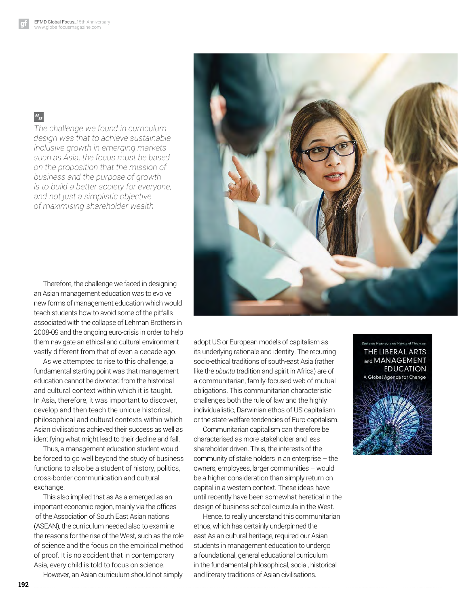## $a_{jj}$

*The challenge we found in curriculum design was that to achieve sustainable inclusive growth in emerging markets such as Asia, the focus must be based on the proposition that the mission of business and the purpose of growth is to build a better society for everyone, and not just a simplistic objective of maximising shareholder wealth*



As we attempted to rise to this challenge, a fundamental starting point was that management education cannot be divorced from the historical and cultural context within which it is taught. In Asia, therefore, it was important to discover, develop and then teach the unique historical, philosophical and cultural contexts within which Asian civilisations achieved their success as well as identifying what might lead to their decline and fall.

Thus, a management education student would be forced to go well beyond the study of business functions to also be a student of history, politics, cross-border communication and cultural exchange.

This also implied that as Asia emerged as an important economic region, mainly via the offices of the Association of South East Asian nations (ASEAN), the curriculum needed also to examine the reasons for the rise of the West, such as the role of science and the focus on the empirical method of proof. It is no accident that in contemporary Asia, every child is told to focus on science.

However, an Asian curriculum should not simply

adopt US or European models of capitalism as its underlying rationale and identity. The recurring socio-ethical traditions of south-east Asia (rather like the *ubuntu* tradition and spirit in Africa) are of a communitarian, family-focused web of mutual obligations. This communitarian characteristic

challenges both the rule of law and the highly individualistic, Darwinian ethos of US capitalism or the state-welfare tendencies of Euro-capitalism.

Communitarian capitalism can therefore be characterised as more stakeholder and less shareholder driven. Thus, the interests of the community of stake holders in an enterprise – the owners, employees, larger communities – would be a higher consideration than simply return on capital in a western context. These ideas have until recently have been somewhat heretical in the design of business school curricula in the West.

Hence, to really understand this communitarian ethos, which has certainly underpinned the east Asian cultural heritage, required our Asian students in management education to undergo a foundational, general educational curriculum in the fundamental philosophical, social, historical and literary traditions of Asian civilisations.





**192**